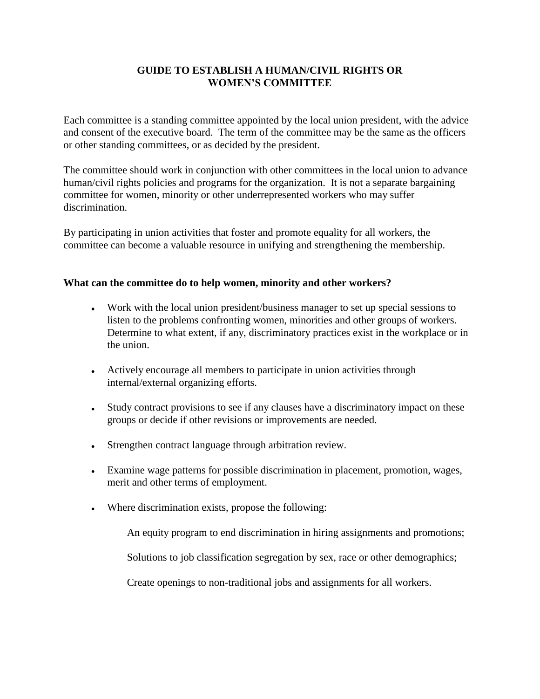# **GUIDE TO ESTABLISH A HUMAN/CIVIL RIGHTS OR WOMEN'S COMMITTEE**

Each committee is a standing committee appointed by the local union president, with the advice and consent of the executive board. The term of the committee may be the same as the officers or other standing committees, or as decided by the president.

The committee should work in conjunction with other committees in the local union to advance human/civil rights policies and programs for the organization. It is not a separate bargaining committee for women, minority or other underrepresented workers who may suffer discrimination.

By participating in union activities that foster and promote equality for all workers, the committee can become a valuable resource in unifying and strengthening the membership.

### **What can the committee do to help women, minority and other workers?**

- Work with the local union president/business manager to set up special sessions to listen to the problems confronting women, minorities and other groups of workers. Determine to what extent, if any, discriminatory practices exist in the workplace or in the union.
- Actively encourage all members to participate in union activities through internal/external organizing efforts.
- Study contract provisions to see if any clauses have a discriminatory impact on these groups or decide if other revisions or improvements are needed.
- Strengthen contract language through arbitration review.
- Examine wage patterns for possible discrimination in placement, promotion, wages, merit and other terms of employment.
- Where discrimination exists, propose the following:

An equity program to end discrimination in hiring assignments and promotions;

Solutions to job classification segregation by sex, race or other demographics;

Create openings to non-traditional jobs and assignments for all workers.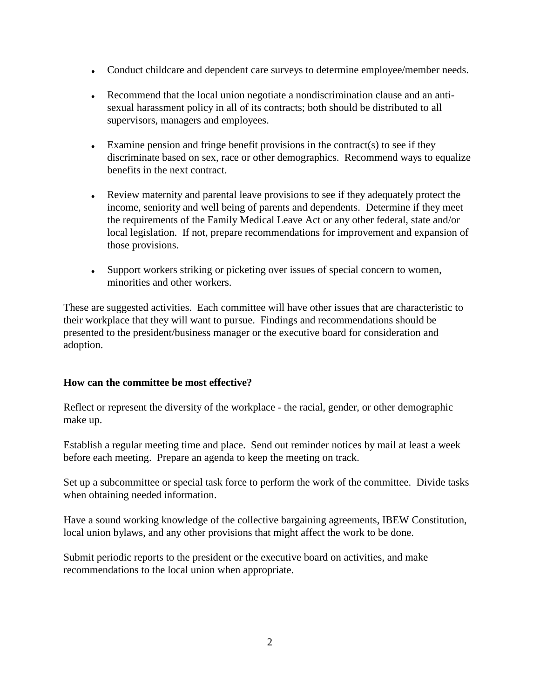- Conduct childcare and dependent care surveys to determine employee/member needs.
- Recommend that the local union negotiate a nondiscrimination clause and an antisexual harassment policy in all of its contracts; both should be distributed to all supervisors, managers and employees.
- Examine pension and fringe benefit provisions in the contract(s) to see if they discriminate based on sex, race or other demographics. Recommend ways to equalize benefits in the next contract.
- Review maternity and parental leave provisions to see if they adequately protect the income, seniority and well being of parents and dependents. Determine if they meet the requirements of the Family Medical Leave Act or any other federal, state and/or local legislation. If not, prepare recommendations for improvement and expansion of those provisions.
- Support workers striking or picketing over issues of special concern to women, minorities and other workers.

These are suggested activities. Each committee will have other issues that are characteristic to their workplace that they will want to pursue. Findings and recommendations should be presented to the president/business manager or the executive board for consideration and adoption.

### **How can the committee be most effective?**

Reflect or represent the diversity of the workplace - the racial, gender, or other demographic make up.

Establish a regular meeting time and place. Send out reminder notices by mail at least a week before each meeting. Prepare an agenda to keep the meeting on track.

Set up a subcommittee or special task force to perform the work of the committee. Divide tasks when obtaining needed information.

Have a sound working knowledge of the collective bargaining agreements, IBEW Constitution, local union bylaws, and any other provisions that might affect the work to be done.

Submit periodic reports to the president or the executive board on activities, and make recommendations to the local union when appropriate.